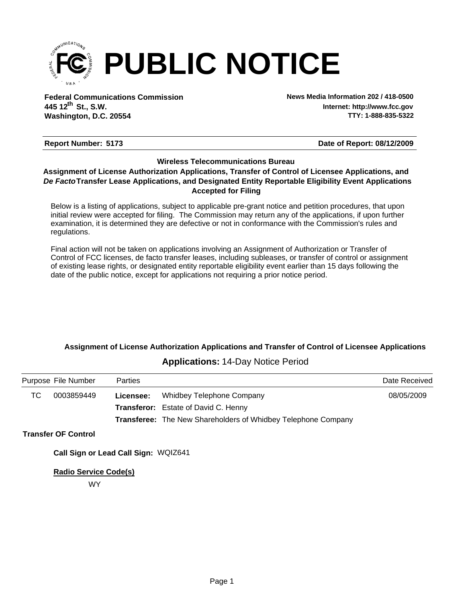

**Federal Communications Commission News Media Information 202 / 418-0500 Washington, D.C. 20554 th 445 12 St., S.W.**

**Internet: http://www.fcc.gov TTY: 1-888-835-5322**

#### **Report Number: 5173 5173 5173 518 5173 518 518 518 518 518 518 518 518 518 518 518 518 518 518 518 518 518 518 518 518 518 518 518 518 518 518 518 518 518**

#### **Wireless Telecommunications Bureau**

#### **Accepted for Filing** *De Facto***Transfer Lease Applications, and Designated Entity Reportable Eligibility Event Applications Assignment of License Authorization Applications, Transfer of Control of Licensee Applications, and**

Below is a listing of applications, subject to applicable pre-grant notice and petition procedures, that upon initial review were accepted for filing. The Commission may return any of the applications, if upon further examination, it is determined they are defective or not in conformance with the Commission's rules and regulations.

Final action will not be taken on applications involving an Assignment of Authorization or Transfer of Control of FCC licenses, de facto transfer leases, including subleases, or transfer of control or assignment of existing lease rights, or designated entity reportable eligibility event earlier than 15 days following the date of the public notice, except for applications not requiring a prior notice period.

# **Assignment of License Authorization Applications and Transfer of Control of Licensee Applications**

## **Applications:** 14-Day Notice Period

|    | Purpose File Number        | <b>Parties</b> |                                                                      | Date Received |
|----|----------------------------|----------------|----------------------------------------------------------------------|---------------|
| ТC | 0003859449                 | Licensee:      | <b>Whidbey Telephone Company</b>                                     | 08/05/2009    |
|    |                            |                | <b>Transferor:</b> Estate of David C. Henny                          |               |
|    |                            |                | <b>Transferee:</b> The New Shareholders of Whidbey Telephone Company |               |
|    | <b>Transfer OF Control</b> |                |                                                                      |               |

**Call Sign or Lead Call Sign:** WQIZ641

**Radio Service Code(s)**

WY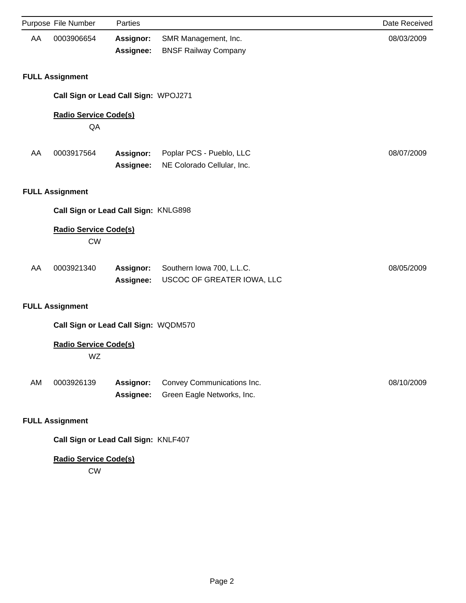|    | Purpose File Number                       | Parties                       |                                                          | Date Received |
|----|-------------------------------------------|-------------------------------|----------------------------------------------------------|---------------|
| AA | 0003906654                                | <b>Assignor:</b><br>Assignee: | SMR Management, Inc.<br><b>BNSF Railway Company</b>      | 08/03/2009    |
|    | <b>FULL Assignment</b>                    |                               |                                                          |               |
|    | Call Sign or Lead Call Sign: WPOJ271      |                               |                                                          |               |
|    | <b>Radio Service Code(s)</b><br>QA        |                               |                                                          |               |
| AA | 0003917564                                | Assignor:<br>Assignee:        | Poplar PCS - Pueblo, LLC<br>NE Colorado Cellular, Inc.   | 08/07/2009    |
|    | <b>FULL Assignment</b>                    |                               |                                                          |               |
|    | Call Sign or Lead Call Sign: KNLG898      |                               |                                                          |               |
|    | <b>Radio Service Code(s)</b><br><b>CW</b> |                               |                                                          |               |
| AA | 0003921340                                | <b>Assignor:</b><br>Assignee: | Southern Iowa 700, L.L.C.<br>USCOC OF GREATER IOWA, LLC  | 08/05/2009    |
|    | <b>FULL Assignment</b>                    |                               |                                                          |               |
|    | Call Sign or Lead Call Sign: WQDM570      |                               |                                                          |               |
|    | <b>Radio Service Code(s)</b><br>WZ        |                               |                                                          |               |
| AM | 0003926139                                | <b>Assignor:</b><br>Assignee: | Convey Communications Inc.<br>Green Eagle Networks, Inc. | 08/10/2009    |
|    | <b>FULL Assignment</b>                    |                               |                                                          |               |
|    | Call Sign or Lead Call Sign: KNLF407      |                               |                                                          |               |
|    | <b>Radio Service Code(s)</b><br>CW        |                               |                                                          |               |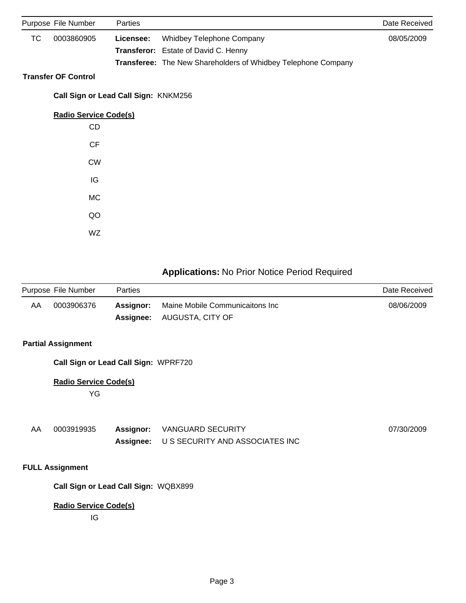|    | Purpose File Number                  | Parties            |                                                               | Date Received |
|----|--------------------------------------|--------------------|---------------------------------------------------------------|---------------|
| TC | 0003860905                           | Licensee:          | Whidbey Telephone Company                                     | 08/05/2009    |
|    |                                      | <b>Transferor:</b> | Estate of David C. Henny                                      |               |
|    |                                      |                    | Transferee: The New Shareholders of Whidbey Telephone Company |               |
|    | <b>Transfer OF Control</b>           |                    |                                                               |               |
|    | Call Sign or Lead Call Sign: KNKM256 |                    |                                                               |               |
|    | <b>Radio Service Code(s)</b>         |                    |                                                               |               |
|    | CD                                   |                    |                                                               |               |
|    | CF                                   |                    |                                                               |               |
|    | <b>CW</b>                            |                    |                                                               |               |
|    | IG                                   |                    |                                                               |               |
|    | <b>MC</b>                            |                    |                                                               |               |
|    | QO                                   |                    |                                                               |               |
|    | WZ                                   |                    |                                                               |               |

# **Applications:** No Prior Notice Period Required

|    | Purpose File Number | <b>Parties</b> |                                                                      | Date Received |
|----|---------------------|----------------|----------------------------------------------------------------------|---------------|
| AA | 0003906376          | Assignor:      | Maine Mobile Communicaitons Inc<br><b>Assignee:</b> AUGUSTA, CITY OF | 08/06/2009    |

### **Partial Assignment**

**Call Sign or Lead Call Sign:** WPRF720

# **Radio Service Code(s)**

YG

| 0003919935 | <b>Assignor:</b> VANGUARD SECURITY        | 07/30/2009 |
|------------|-------------------------------------------|------------|
|            | Assignee: U S SECURITY AND ASSOCIATES INC |            |

# **FULL Assignment**

**Call Sign or Lead Call Sign:** WQBX899

#### **Radio Service Code(s)**

IG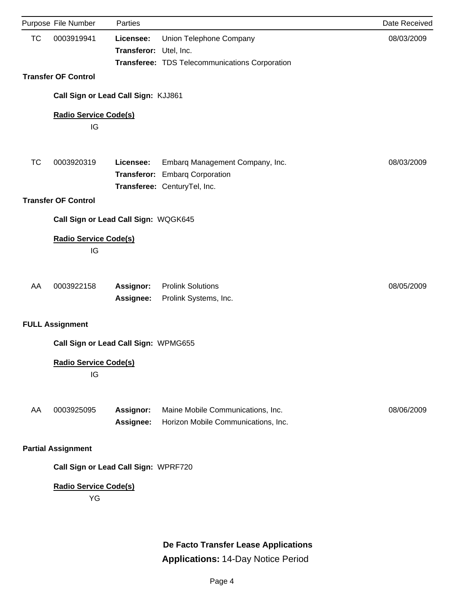|           | Purpose File Number                | Parties                              |                                                                                              | Date Received |
|-----------|------------------------------------|--------------------------------------|----------------------------------------------------------------------------------------------|---------------|
| <b>TC</b> | 0003919941                         | Licensee:<br><b>Transferor:</b>      | Union Telephone Company<br>Utel, Inc.<br>Transferee: TDS Telecommunications Corporation      | 08/03/2009    |
|           | <b>Transfer OF Control</b>         |                                      |                                                                                              |               |
|           |                                    | Call Sign or Lead Call Sign: KJJ861  |                                                                                              |               |
|           | <b>Radio Service Code(s)</b><br>IG |                                      |                                                                                              |               |
| <b>TC</b> | 0003920319                         | Licensee:<br><b>Transferor:</b>      | Embarq Management Company, Inc.<br><b>Embarg Corporation</b><br>Transferee: CenturyTel, Inc. | 08/03/2009    |
|           | <b>Transfer OF Control</b>         |                                      |                                                                                              |               |
|           |                                    | Call Sign or Lead Call Sign: WQGK645 |                                                                                              |               |
|           | <b>Radio Service Code(s)</b><br>IG |                                      |                                                                                              |               |
| AA        | 0003922158                         | <b>Assignor:</b><br>Assignee:        | <b>Prolink Solutions</b><br>Prolink Systems, Inc.                                            | 08/05/2009    |
|           | <b>FULL Assignment</b>             |                                      |                                                                                              |               |
|           |                                    | Call Sign or Lead Call Sign: WPMG655 |                                                                                              |               |
|           | <b>Radio Service Code(s)</b><br>IG |                                      |                                                                                              |               |
| AA        | 0003925095                         | Assignor:<br>Assignee:               | Maine Mobile Communications, Inc.<br>Horizon Mobile Communications, Inc.                     | 08/06/2009    |
|           | <b>Partial Assignment</b>          |                                      |                                                                                              |               |
|           |                                    | Call Sign or Lead Call Sign: WPRF720 |                                                                                              |               |
|           | <b>Radio Service Code(s)</b><br>YG |                                      |                                                                                              |               |

**De Facto Transfer Lease Applications Applications:** 14-Day Notice Period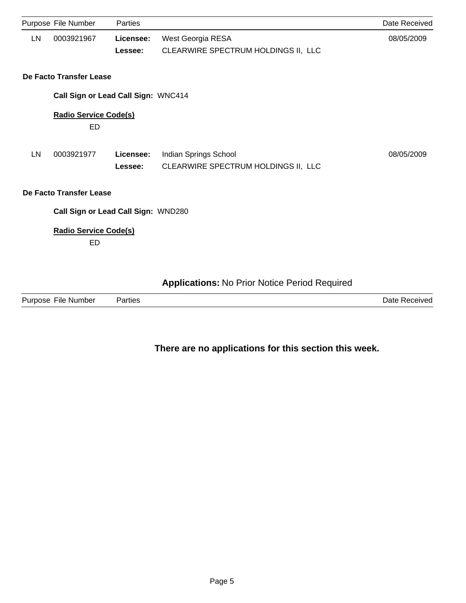|           | Purpose File Number                 | Parties              |                                                              | Date Received |
|-----------|-------------------------------------|----------------------|--------------------------------------------------------------|---------------|
| LN        | 0003921967                          | Licensee:<br>Lessee: | West Georgia RESA<br>CLEARWIRE SPECTRUM HOLDINGS II, LLC     | 08/05/2009    |
|           | De Facto Transfer Lease             |                      |                                                              |               |
|           | Call Sign or Lead Call Sign: WNC414 |                      |                                                              |               |
|           | <b>Radio Service Code(s)</b><br>ED  |                      |                                                              |               |
| <b>LN</b> | 0003921977                          | Licensee:<br>Lessee: | Indian Springs School<br>CLEARWIRE SPECTRUM HOLDINGS II, LLC | 08/05/2009    |
|           | De Facto Transfer Lease             |                      |                                                              |               |
|           | Call Sign or Lead Call Sign: WND280 |                      |                                                              |               |
|           | <b>Radio Service Code(s)</b><br>ED  |                      |                                                              |               |
|           |                                     |                      | <b>Applications: No Prior Notice Period Required</b>         |               |

| Purpose<br>$- \cdot \cdot$<br>File Number | Parties | ⊃ate<br>≅Receiveo |
|-------------------------------------------|---------|-------------------|
|                                           |         |                   |

# **There are no applications for this section this week.**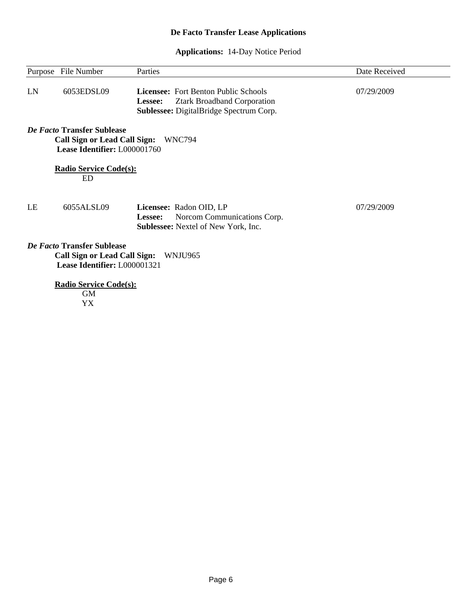# **De Facto Transfer Lease Applications**

# **Applications:** 14-Day Notice Period

 $\overline{\phantom{0}}$ 

|    | Purpose File Number                                                                               | Parties                                                                                                                                 | Date Received |
|----|---------------------------------------------------------------------------------------------------|-----------------------------------------------------------------------------------------------------------------------------------------|---------------|
| LN | 6053EDSL09                                                                                        | <b>Licensee:</b> Fort Benton Public Schools<br><b>Ztark Broadband Corporation</b><br>Lessee:<br>Sublessee: DigitalBridge Spectrum Corp. | 07/29/2009    |
|    | De Facto Transfer Sublease<br>Lease Identifier: L000001760                                        | Call Sign or Lead Call Sign: WNC794                                                                                                     |               |
|    | <b>Radio Service Code(s):</b><br><b>ED</b>                                                        |                                                                                                                                         |               |
| LE | 6055ALSL09                                                                                        | Licensee: Radon OID, LP<br>Norcom Communications Corp.<br>Lessee:<br><b>Sublessee:</b> Nextel of New York, Inc.                         | 07/29/2009    |
|    | De Facto Transfer Sublease<br><b>Call Sign or Lead Call Sign:</b><br>Lease Identifier: L000001321 | WNJU965                                                                                                                                 |               |
|    | <b>Radio Service Code(s):</b><br><b>GM</b><br>YX                                                  |                                                                                                                                         |               |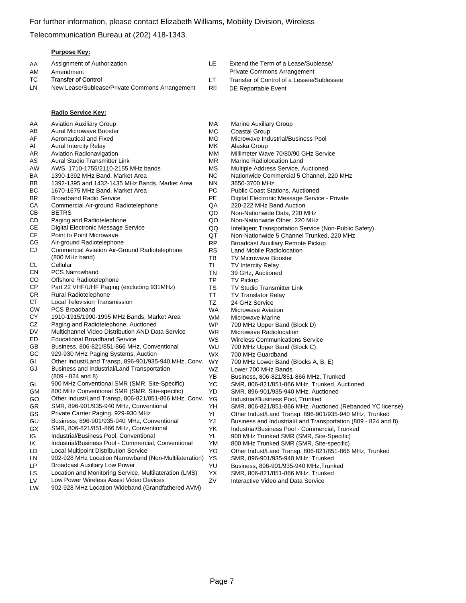Telecommunication Bureau at (202) 418-1343.

#### **Purpose Key:**

| AA | Assignment of Authorization                    | IE. | Extend the Term of a Lease/Sublease/   |
|----|------------------------------------------------|-----|----------------------------------------|
| AM | Amendment                                      |     | <b>Private Commons Arrangement</b>     |
| TC | <b>Transfer of Control</b>                     |     | Transfer of Control of a Lessee/Subles |
| LN | New Lease/Sublease/Private Commons Arrangement | RE  | DE Reportable Event                    |
|    |                                                |     |                                        |

|           | Radio Service Key:                                     |           |
|-----------|--------------------------------------------------------|-----------|
| AA        | <b>Aviation Auxiliary Group</b>                        | МA        |
| AB        | <b>Aural Microwave Booster</b>                         | МC        |
| AF        | Aeronautical and Fixed                                 | МG        |
| AI        | <b>Aural Intercity Relay</b>                           | MK        |
| AR        | <b>Aviation Radionavigation</b>                        | ΜM        |
| AS        | Aural Studio Transmitter Link                          | ΜR        |
| AW        | AWS, 1710-1755/2110-2155 MHz bands                     | МS        |
| BA        | 1390-1392 MHz Band, Market Area                        | ΝC        |
| BB        | 1392-1395 and 1432-1435 MHz Bands, Market Area         | NΝ        |
| ВC        | 1670-1675 MHz Band, Market Area                        | РC        |
| <b>BR</b> | <b>Broadband Radio Service</b>                         | PE        |
| СA        | Commercial Air-ground Radiotelephone                   | QA        |
| CВ        | <b>BETRS</b>                                           | QD        |
| CD        | Paging and Radiotelephone                              | QO        |
| CЕ        | Digital Electronic Message Service                     | QQ        |
| CF        | Point to Point Microwave                               | QT        |
| СG        | Air-ground Radiotelephone                              | <b>RP</b> |
| CJ        | Commercial Aviation Air-Ground Radiotelephone          | RS        |
|           | (800 MHz band)                                         | ТB        |
| СL        | Cellular                                               | ΤI        |
| СN        | <b>PCS Narrowband</b>                                  | ΤN        |
| CO        | Offshore Radiotelephone                                | TP        |
| <b>CP</b> | Part 22 VHF/UHF Paging (excluding 931MHz)              | TS        |
| CR        | <b>Rural Radiotelephone</b>                            | TT        |
| CТ        | <b>Local Television Transmission</b>                   | TZ        |
| <b>CW</b> | PCS Broadband                                          | <b>WA</b> |
| CY        | 1910-1915/1990-1995 MHz Bands, Market Area             | WN        |
| CZ        | Paging and Radiotelephone, Auctioned                   | WF        |
| DV        | Multichannel Video Distribution AND Data Service       | WR        |
| ED        | <b>Educational Broadband Service</b>                   | <b>WS</b> |
| GB        | Business, 806-821/851-866 MHz, Conventional            | WL        |
| GC        | 929-930 MHz Paging Systems, Auction                    | WX        |
| GI        | Other Indust/Land Transp, 896-901/935-940 MHz, Conv.   | WY        |
| GJ        | Business and Industrial/Land Transportation            | WZ        |
|           | $(809 - 824$ and 8)                                    | YΒ        |
| GL        | 900 MHz Conventional SMR (SMR, Site-Specific)          | ΥC        |
| GМ        | 800 MHz Conventional SMR (SMR, Site-specific)          | YD        |
| GO        | Other Indust/Land Transp, 806-821/851-866 MHz, Conv.   | ΥG        |
| GR        | SMR, 896-901/935-940 MHz, Conventional                 | YΗ        |
| GS        | Private Carrier Paging, 929-930 MHz                    | ΥI        |
| GU        | Business, 896-901/935-940 MHz, Conventional            | YJ        |
| GX        | SMR, 806-821/851-866 MHz, Conventional                 | YΚ        |
| IG        | Industrial/Business Pool, Conventional                 | YL        |
| ΙK        | Industrial/Business Pool - Commercial, Conventional    | ΥM        |
| LD        | <b>Local Multipoint Distribution Service</b>           | YO        |
| LN        | 902-928 MHz Location Narrowband (Non-Multilateration)  | ΥS        |
| LР        | <b>Broadcast Auxiliary Low Power</b>                   | YU        |
| LS        | Location and Monitoring Service, Multilateration (LMS) | YΧ        |
| LV        | Low Power Wireless Assist Video Devices                | ZV        |
| LW        | 902-928 MHz Location Wideband (Grandfathered AVM)      |           |

- 
- 
- see/Sublessee
- Marine Auxiliary Group
- Coastal Group
- **B** Microwave Industrial/Business Pool
- Alaska Group
- MM Millimeter Wave 70/80/90 GHz Service
- Marine Radiolocation Land
- Multiple Address Service, Auctioned
- Nationwide Commercial 5 Channel, 220 MHz
- 3650-3700 MHz
- Public Coast Stations, Auctioned
- Digital Electronic Message Service Private
- 220-222 MHz Band Auction
- Non-Nationwide Data, 220 MHz
- QO Non-Nationwide Other, 220 MHz
- Intelligent Transportation Service (Non-Public Safety)
- Non-Nationwide 5 Channel Trunked, 220 MHz
- Broadcast Auxiliary Remote Pickup
- Land Mobile Radiolocation
- TV Microwave Booster
- **TV Intercity Relay**
- 39 GHz, Auctioned
- TV Pickup
- TV Studio Transmitter Link
- **TV Translator Relay**
- 24 GHz Service
	- **Microwave Aviation**
- WM Microwave Marine
- 700 MHz Upper Band (Block D)
- R Microwave Radiolocation
- Wireless Communications Service
- J 700 MHz Upper Band (Block C)
	- 700 MHz Guardband
	- 700 MHz Lower Band (Blocks A, B, E)
	- Lower 700 MHz Bands
	- Business, 806-821/851-866 MHz, Trunked
- SMR, 806-821/851-866 MHz, Trunked, Auctioned
- SMR, 896-901/935-940 MHz, Auctioned
- Industrial/Business Pool, Trunked
- SMR, 806-821/851-866 MHz, Auctioned (Rebanded YC license)
- Other Indust/Land Transp. 896-901/935-940 MHz, Trunked
- Business and Industrial/Land Transportation (809 824 and 8)
- Industrial/Business Pool Commercial, Trunked
- 900 MHz Trunked SMR (SMR, Site-Specific)
- 800 MHz Trunked SMR (SMR, Site-specific)
- Other Indust/Land Transp. 806-821/851-866 MHz, Trunked
	- SMR, 896-901/935-940 MHz, Trunked
	- Business, 896-901/935-940 MHz, Trunked
	- SMR, 806-821/851-866 MHz, Trunked
	- Interactive Video and Data Service